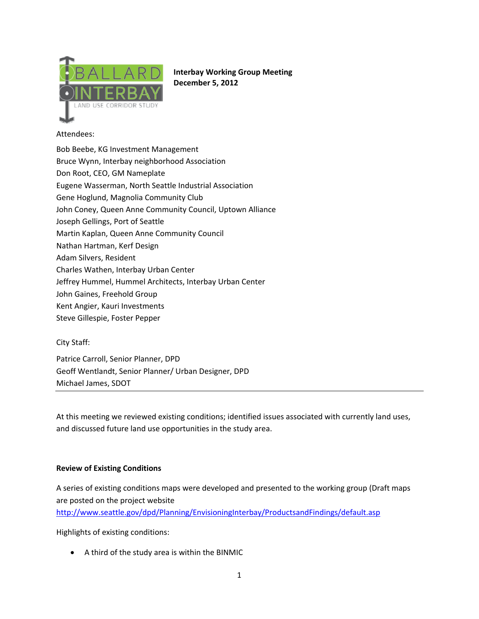

**Interbay Working Group Meeting December 5, 2012**

# Attendees:

Bob Beebe, KG Investment Management Bruce Wynn, Interbay neighborhood Association Don Root, CEO, GM Nameplate Eugene Wasserman, North Seattle Industrial Association Gene Hoglund, Magnolia Community Club John Coney, Queen Anne Community Council, Uptown Alliance Joseph Gellings, Port of Seattle Martin Kaplan, Queen Anne Community Council Nathan Hartman, Kerf Design Adam Silvers, Resident Charles Wathen, Interbay Urban Center Jeffrey Hummel, Hummel Architects, Interbay Urban Center John Gaines, Freehold Group Kent Angier, Kauri Investments

Steve Gillespie, Foster Pepper

# City Staff:

Patrice Carroll, Senior Planner, DPD Geoff Wentlandt, Senior Planner/ Urban Designer, DPD Michael James, SDOT

At this meeting we reviewed existing conditions; identified issues associated with currently land uses, and discussed future land use opportunities in the study area.

### **Review of Existing Conditions**

A series of existing conditions maps were developed and presented to the working group (Draft maps are posted on the project website

http://www.seattle.gov/dpd/Planning/EnvisioningInterbay/ProductsandFindings/default.asp

Highlights of existing conditions:

• A third of the study area is within the BINMIC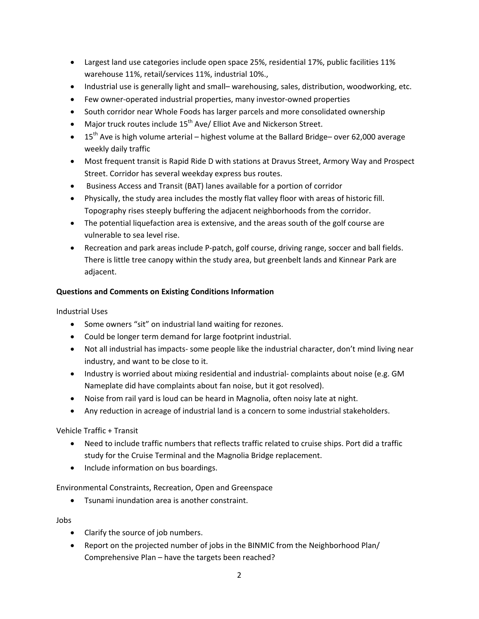- Largest land use categories include open space 25%, residential 17%, public facilities 11% warehouse 11%, retail/services 11%, industrial 10%.,
- Industrial use is generally light and small– warehousing, sales, distribution, woodworking, etc.
- Few owner‐operated industrial properties, many investor‐owned properties
- South corridor near Whole Foods has larger parcels and more consolidated ownership
- Major truck routes include  $15^{th}$  Ave/ Elliot Ave and Nickerson Street.
- 15<sup>th</sup> Ave is high volume arterial highest volume at the Ballard Bridge– over 62,000 average weekly daily traffic
- Most frequent transit is Rapid Ride D with stations at Dravus Street, Armory Way and Prospect Street. Corridor has several weekday express bus routes.
- Business Access and Transit (BAT) lanes available for a portion of corridor
- Physically, the study area includes the mostly flat valley floor with areas of historic fill. Topography rises steeply buffering the adjacent neighborhoods from the corridor.
- The potential liquefaction area is extensive, and the areas south of the golf course are vulnerable to sea level rise.
- Recreation and park areas include P-patch, golf course, driving range, soccer and ball fields. There is little tree canopy within the study area, but greenbelt lands and Kinnear Park are adjacent.

# **Questions and Comments on Existing Conditions Information**

Industrial Uses

- Some owners "sit" on industrial land waiting for rezones.
- Could be longer term demand for large footprint industrial.
- Not all industrial has impacts‐ some people like the industrial character, don't mind living near industry, and want to be close to it.
- Industry is worried about mixing residential and industrial-complaints about noise (e.g. GM Nameplate did have complaints about fan noise, but it got resolved).
- Noise from rail yard is loud can be heard in Magnolia, often noisy late at night.
- Any reduction in acreage of industrial land is a concern to some industrial stakeholders.

Vehicle Traffic + Transit

- Need to include traffic numbers that reflects traffic related to cruise ships. Port did a traffic study for the Cruise Terminal and the Magnolia Bridge replacement.
- Include information on bus boardings.

Environmental Constraints, Recreation, Open and Greenspace

• Tsunami inundation area is another constraint.

Jobs

- Clarify the source of job numbers.
- Report on the projected number of jobs in the BINMIC from the Neighborhood Plan/ Comprehensive Plan – have the targets been reached?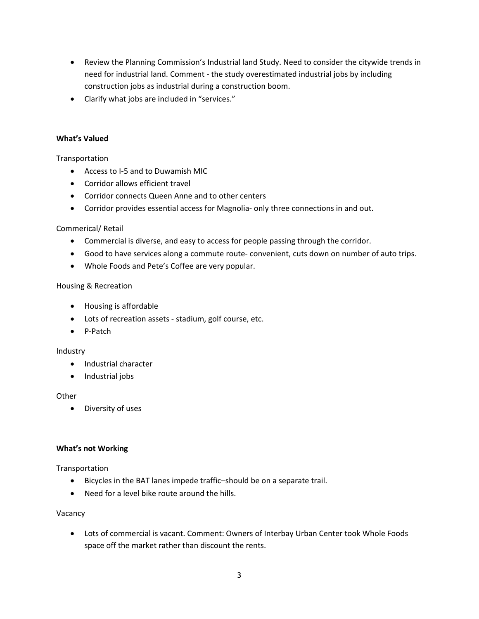- Review the Planning Commission's Industrial land Study. Need to consider the citywide trends in need for industrial land. Comment ‐ the study overestimated industrial jobs by including construction jobs as industrial during a construction boom.
- Clarify what jobs are included in "services."

### **What's Valued**

Transportation

- Access to I-5 and to Duwamish MIC
- Corridor allows efficient travel
- Corridor connects Queen Anne and to other centers
- Corridor provides essential access for Magnolia‐ only three connections in and out.

### Commerical/ Retail

- Commercial is diverse, and easy to access for people passing through the corridor.
- Good to have services along a commute route- convenient, cuts down on number of auto trips.
- Whole Foods and Pete's Coffee are very popular.

### Housing & Recreation

- Housing is affordable
- Lots of recreation assets ‐ stadium, golf course, etc.
- P‐Patch

### Industry

- Industrial character
- Industrial jobs

### **Other**

• Diversity of uses

### **What's not Working**

Transportation

- Bicycles in the BAT lanes impede traffic–should be on a separate trail.
- Need for a level bike route around the hills.

### Vacancy

• Lots of commercial is vacant. Comment: Owners of Interbay Urban Center took Whole Foods space off the market rather than discount the rents.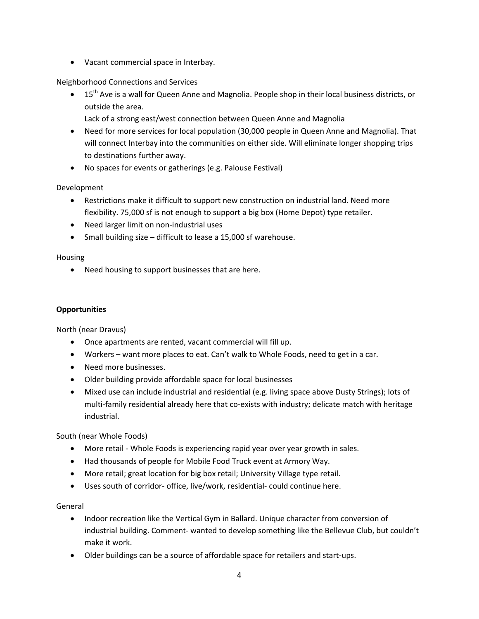• Vacant commercial space in Interbay.

Neighborhood Connections and Services

- 15<sup>th</sup> Ave is a wall for Queen Anne and Magnolia. People shop in their local business districts, or outside the area.
	- Lack of a strong east/west connection between Queen Anne and Magnolia
- Need for more services for local population (30,000 people in Queen Anne and Magnolia). That will connect Interbay into the communities on either side. Will eliminate longer shopping trips to destinations further away.
- No spaces for events or gatherings (e.g. Palouse Festival)

Development

- Restrictions make it difficult to support new construction on industrial land. Need more flexibility. 75,000 sf is not enough to support a big box (Home Depot) type retailer.
- Need larger limit on non‐industrial uses
- Small building size difficult to lease a 15,000 sf warehouse.

Housing

• Need housing to support businesses that are here.

# **Opportunities**

North (near Dravus)

- Once apartments are rented, vacant commercial will fill up.
- Workers want more places to eat. Can't walk to Whole Foods, need to get in a car.
- Need more businesses.
- Older building provide affordable space for local businesses
- Mixed use can include industrial and residential (e.g. living space above Dusty Strings); lots of multi-family residential already here that co-exists with industry; delicate match with heritage industrial.

South (near Whole Foods)

- More retail Whole Foods is experiencing rapid year over year growth in sales.
- Had thousands of people for Mobile Food Truck event at Armory Way.
- More retail; great location for big box retail; University Village type retail.
- Uses south of corridor‐ office, live/work, residential‐ could continue here.

### General

- Indoor recreation like the Vertical Gym in Ballard. Unique character from conversion of industrial building. Comment- wanted to develop something like the Bellevue Club, but couldn't make it work.
- Older buildings can be a source of affordable space for retailers and start‐ups.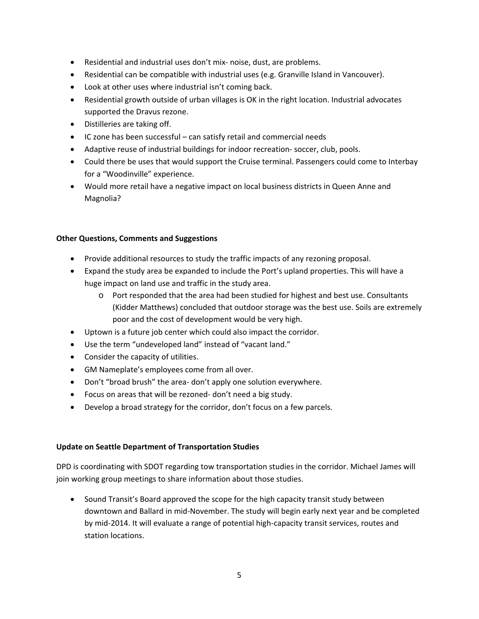- Residential and industrial uses don't mix‐ noise, dust, are problems.
- Residential can be compatible with industrial uses (e.g. Granville Island in Vancouver).
- Look at other uses where industrial isn't coming back.
- Residential growth outside of urban villages is OK in the right location. Industrial advocates supported the Dravus rezone.
- Distilleries are taking off.
- IC zone has been successful can satisfy retail and commercial needs
- Adaptive reuse of industrial buildings for indoor recreation-soccer, club, pools.
- Could there be uses that would support the Cruise terminal. Passengers could come to Interbay for a "Woodinville" experience.
- Would more retail have a negative impact on local business districts in Queen Anne and Magnolia?

## **Other Questions, Comments and Suggestions**

- Provide additional resources to study the traffic impacts of any rezoning proposal.
- Expand the study area be expanded to include the Port's upland properties. This will have a huge impact on land use and traffic in the study area.
	- o Port responded that the area had been studied for highest and best use. Consultants (Kidder Matthews) concluded that outdoor storage was the best use. Soils are extremely poor and the cost of development would be very high.
- Uptown is a future job center which could also impact the corridor.
- Use the term "undeveloped land" instead of "vacant land."
- Consider the capacity of utilities.
- GM Nameplate's employees come from all over.
- Don't "broad brush" the area-don't apply one solution everywhere.
- Focus on areas that will be rezoned‐ don't need a big study.
- Develop a broad strategy for the corridor, don't focus on a few parcels.

# **Update on Seattle Department of Transportation Studies**

DPD is coordinating with SDOT regarding tow transportation studies in the corridor. Michael James will join working group meetings to share information about those studies.

• Sound Transit's Board approved the scope for the high capacity transit study between downtown and Ballard in mid‐November. The study will begin early next year and be completed by mid‐2014. It will evaluate a range of potential high‐capacity transit services, routes and station locations.